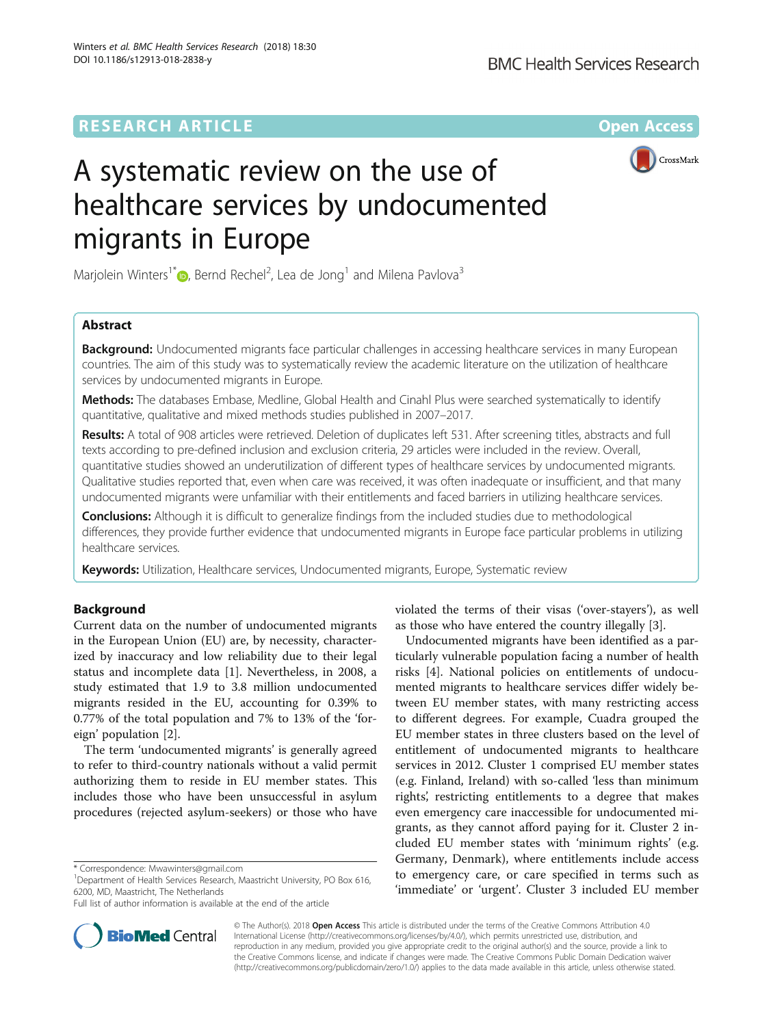## **RESEARCH ARTICLE External Structure Community Community Community Community Community Community Community Community**



# A systematic review on the use of healthcare services by undocumented migrants in Europe

Marjolein Winters<sup>1[\\*](http://orcid.org/0000-0001-5730-3836)</sup>®, Bernd Rechel<sup>2</sup>, Lea de Jong<sup>1</sup> and Milena Pavlova<sup>3</sup>

## Abstract

**Background:** Undocumented migrants face particular challenges in accessing healthcare services in many European countries. The aim of this study was to systematically review the academic literature on the utilization of healthcare services by undocumented migrants in Europe.

Methods: The databases Embase, Medline, Global Health and Cinahl Plus were searched systematically to identify quantitative, qualitative and mixed methods studies published in 2007–2017.

Results: A total of 908 articles were retrieved. Deletion of duplicates left 531. After screening titles, abstracts and full texts according to pre-defined inclusion and exclusion criteria, 29 articles were included in the review. Overall, quantitative studies showed an underutilization of different types of healthcare services by undocumented migrants. Qualitative studies reported that, even when care was received, it was often inadequate or insufficient, and that many undocumented migrants were unfamiliar with their entitlements and faced barriers in utilizing healthcare services.

**Conclusions:** Although it is difficult to generalize findings from the included studies due to methodological differences, they provide further evidence that undocumented migrants in Europe face particular problems in utilizing healthcare services.

**Keywords:** Utilization, Healthcare services, Undocumented migrants, Europe, Systematic review

## Background

Current data on the number of undocumented migrants in the European Union (EU) are, by necessity, characterized by inaccuracy and low reliability due to their legal status and incomplete data [\[1](#page-8-0)]. Nevertheless, in 2008, a study estimated that 1.9 to 3.8 million undocumented migrants resided in the EU, accounting for 0.39% to 0.77% of the total population and 7% to 13% of the 'foreign' population [[2\]](#page-8-0).

The term 'undocumented migrants' is generally agreed to refer to third-country nationals without a valid permit authorizing them to reside in EU member states. This includes those who have been unsuccessful in asylum procedures (rejected asylum-seekers) or those who have

<sup>1</sup>Department of Health Services Research, Maastricht University, PO Box 616, 6200, MD, Maastricht, The Netherlands

Full list of author information is available at the end of the article

violated the terms of their visas ('over-stayers'), as well as those who have entered the country illegally [\[3\]](#page-8-0).

Undocumented migrants have been identified as a particularly vulnerable population facing a number of health risks [\[4](#page-8-0)]. National policies on entitlements of undocumented migrants to healthcare services differ widely between EU member states, with many restricting access to different degrees. For example, Cuadra grouped the EU member states in three clusters based on the level of entitlement of undocumented migrants to healthcare services in 2012. Cluster 1 comprised EU member states (e.g. Finland, Ireland) with so-called 'less than minimum rights', restricting entitlements to a degree that makes even emergency care inaccessible for undocumented migrants, as they cannot afford paying for it. Cluster 2 included EU member states with 'minimum rights' (e.g. Germany, Denmark), where entitlements include access to emergency care, or care specified in terms such as 'immediate' or 'urgent'. Cluster 3 included EU member



© The Author(s). 2018 Open Access This article is distributed under the terms of the Creative Commons Attribution 4.0 International License [\(http://creativecommons.org/licenses/by/4.0/](http://creativecommons.org/licenses/by/4.0/)), which permits unrestricted use, distribution, and reproduction in any medium, provided you give appropriate credit to the original author(s) and the source, provide a link to the Creative Commons license, and indicate if changes were made. The Creative Commons Public Domain Dedication waiver [\(http://creativecommons.org/publicdomain/zero/1.0/](http://creativecommons.org/publicdomain/zero/1.0/)) applies to the data made available in this article, unless otherwise stated.

<sup>\*</sup> Correspondence: [Mwawinters@gmail.com](mailto:Mwawinters@gmail.com) <sup>1</sup>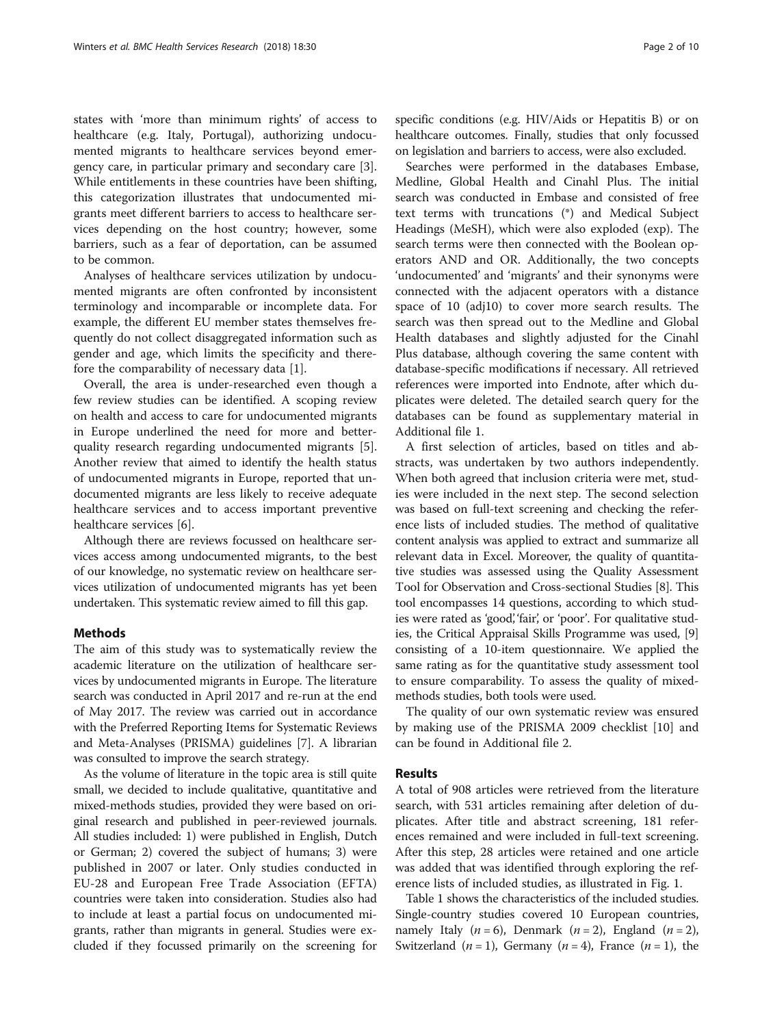states with 'more than minimum rights' of access to healthcare (e.g. Italy, Portugal), authorizing undocumented migrants to healthcare services beyond emergency care, in particular primary and secondary care [\[3](#page-8-0)]. While entitlements in these countries have been shifting, this categorization illustrates that undocumented migrants meet different barriers to access to healthcare services depending on the host country; however, some barriers, such as a fear of deportation, can be assumed to be common.

Analyses of healthcare services utilization by undocumented migrants are often confronted by inconsistent terminology and incomparable or incomplete data. For example, the different EU member states themselves frequently do not collect disaggregated information such as gender and age, which limits the specificity and therefore the comparability of necessary data [\[1](#page-8-0)].

Overall, the area is under-researched even though a few review studies can be identified. A scoping review on health and access to care for undocumented migrants in Europe underlined the need for more and betterquality research regarding undocumented migrants [\[5](#page-8-0)]. Another review that aimed to identify the health status of undocumented migrants in Europe, reported that undocumented migrants are less likely to receive adequate healthcare services and to access important preventive healthcare services [[6\]](#page-8-0).

Although there are reviews focussed on healthcare services access among undocumented migrants, to the best of our knowledge, no systematic review on healthcare services utilization of undocumented migrants has yet been undertaken. This systematic review aimed to fill this gap.

## **Methods**

The aim of this study was to systematically review the academic literature on the utilization of healthcare services by undocumented migrants in Europe. The literature search was conducted in April 2017 and re-run at the end of May 2017. The review was carried out in accordance with the Preferred Reporting Items for Systematic Reviews and Meta-Analyses (PRISMA) guidelines [[7\]](#page-8-0). A librarian was consulted to improve the search strategy.

As the volume of literature in the topic area is still quite small, we decided to include qualitative, quantitative and mixed-methods studies, provided they were based on original research and published in peer-reviewed journals. All studies included: 1) were published in English, Dutch or German; 2) covered the subject of humans; 3) were published in 2007 or later. Only studies conducted in EU-28 and European Free Trade Association (EFTA) countries were taken into consideration. Studies also had to include at least a partial focus on undocumented migrants, rather than migrants in general. Studies were excluded if they focussed primarily on the screening for specific conditions (e.g. HIV/Aids or Hepatitis B) or on healthcare outcomes. Finally, studies that only focussed on legislation and barriers to access, were also excluded.

Searches were performed in the databases Embase, Medline, Global Health and Cinahl Plus. The initial search was conducted in Embase and consisted of free text terms with truncations (\*) and Medical Subject Headings (MeSH), which were also exploded (exp). The search terms were then connected with the Boolean operators AND and OR. Additionally, the two concepts 'undocumented' and 'migrants' and their synonyms were connected with the adjacent operators with a distance space of 10 (adj10) to cover more search results. The search was then spread out to the Medline and Global Health databases and slightly adjusted for the Cinahl Plus database, although covering the same content with database-specific modifications if necessary. All retrieved references were imported into Endnote, after which duplicates were deleted. The detailed search query for the databases can be found as supplementary material in Additional file [1](#page-7-0).

A first selection of articles, based on titles and abstracts, was undertaken by two authors independently. When both agreed that inclusion criteria were met, studies were included in the next step. The second selection was based on full-text screening and checking the reference lists of included studies. The method of qualitative content analysis was applied to extract and summarize all relevant data in Excel. Moreover, the quality of quantitative studies was assessed using the Quality Assessment Tool for Observation and Cross-sectional Studies [\[8](#page-8-0)]. This tool encompasses 14 questions, according to which studies were rated as 'good', 'fair', or 'poor'. For qualitative studies, the Critical Appraisal Skills Programme was used, [[9](#page-8-0)] consisting of a 10-item questionnaire. We applied the same rating as for the quantitative study assessment tool to ensure comparability. To assess the quality of mixedmethods studies, both tools were used.

The quality of our own systematic review was ensured by making use of the PRISMA 2009 checklist [\[10](#page-8-0)] and can be found in Additional file [2](#page-7-0).

## Results

A total of 908 articles were retrieved from the literature search, with 531 articles remaining after deletion of duplicates. After title and abstract screening, 181 references remained and were included in full-text screening. After this step, 28 articles were retained and one article was added that was identified through exploring the reference lists of included studies, as illustrated in Fig. [1.](#page-2-0)

Table [1](#page-3-0) shows the characteristics of the included studies. Single-country studies covered 10 European countries, namely Italy  $(n = 6)$ , Denmark  $(n = 2)$ , England  $(n = 2)$ , Switzerland  $(n = 1)$ , Germany  $(n = 4)$ , France  $(n = 1)$ , the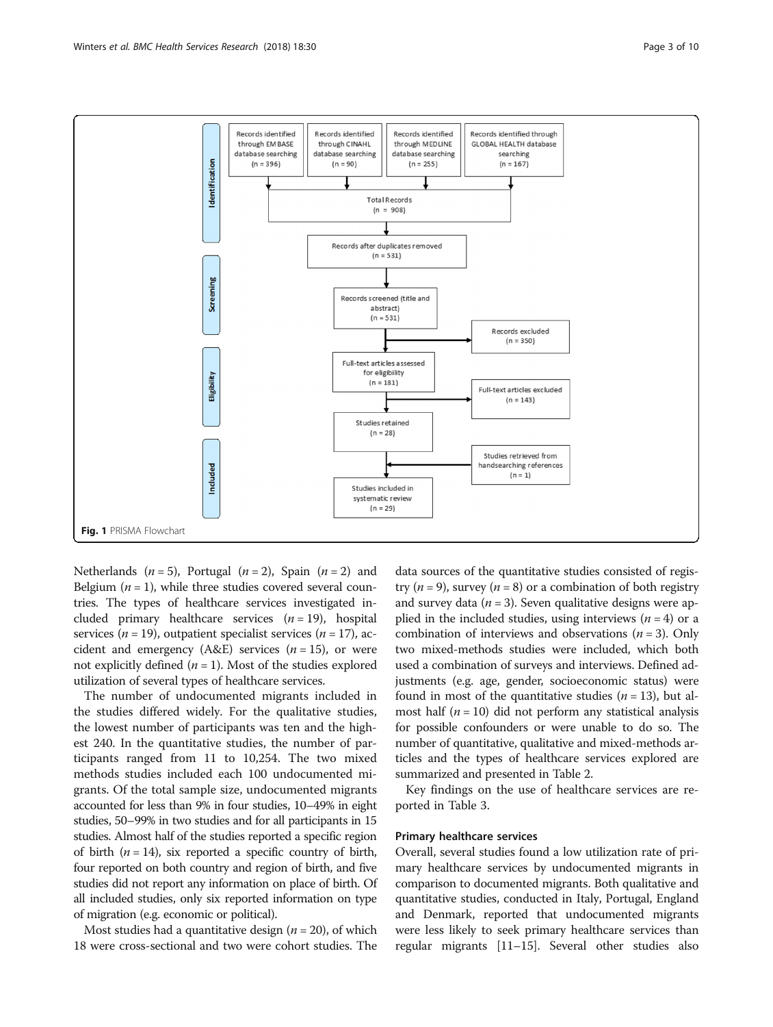<span id="page-2-0"></span>

Netherlands ( $n = 5$ ), Portugal ( $n = 2$ ), Spain ( $n = 2$ ) and Belgium  $(n = 1)$ , while three studies covered several countries. The types of healthcare services investigated included primary healthcare services  $(n = 19)$ , hospital services ( $n = 19$ ), outpatient specialist services ( $n = 17$ ), accident and emergency (A&E) services  $(n = 15)$ , or were not explicitly defined  $(n = 1)$ . Most of the studies explored utilization of several types of healthcare services.

The number of undocumented migrants included in the studies differed widely. For the qualitative studies, the lowest number of participants was ten and the highest 240. In the quantitative studies, the number of participants ranged from 11 to 10,254. The two mixed methods studies included each 100 undocumented migrants. Of the total sample size, undocumented migrants accounted for less than 9% in four studies, 10–49% in eight studies, 50–99% in two studies and for all participants in 15 studies. Almost half of the studies reported a specific region of birth  $(n = 14)$ , six reported a specific country of birth, four reported on both country and region of birth, and five studies did not report any information on place of birth. Of all included studies, only six reported information on type of migration (e.g. economic or political).

Most studies had a quantitative design ( $n = 20$ ), of which 18 were cross-sectional and two were cohort studies. The

data sources of the quantitative studies consisted of registry ( $n = 9$ ), survey ( $n = 8$ ) or a combination of both registry and survey data ( $n = 3$ ). Seven qualitative designs were applied in the included studies, using interviews  $(n = 4)$  or a combination of interviews and observations  $(n = 3)$ . Only two mixed-methods studies were included, which both used a combination of surveys and interviews. Defined adjustments (e.g. age, gender, socioeconomic status) were found in most of the quantitative studies  $(n = 13)$ , but almost half ( $n = 10$ ) did not perform any statistical analysis for possible confounders or were unable to do so. The number of quantitative, qualitative and mixed-methods articles and the types of healthcare services explored are summarized and presented in Table [2](#page-4-0).

Key findings on the use of healthcare services are reported in Table [3](#page-5-0).

## Primary healthcare services

Overall, several studies found a low utilization rate of primary healthcare services by undocumented migrants in comparison to documented migrants. Both qualitative and quantitative studies, conducted in Italy, Portugal, England and Denmark, reported that undocumented migrants were less likely to seek primary healthcare services than regular migrants [\[11](#page-8-0)–[15](#page-8-0)]. Several other studies also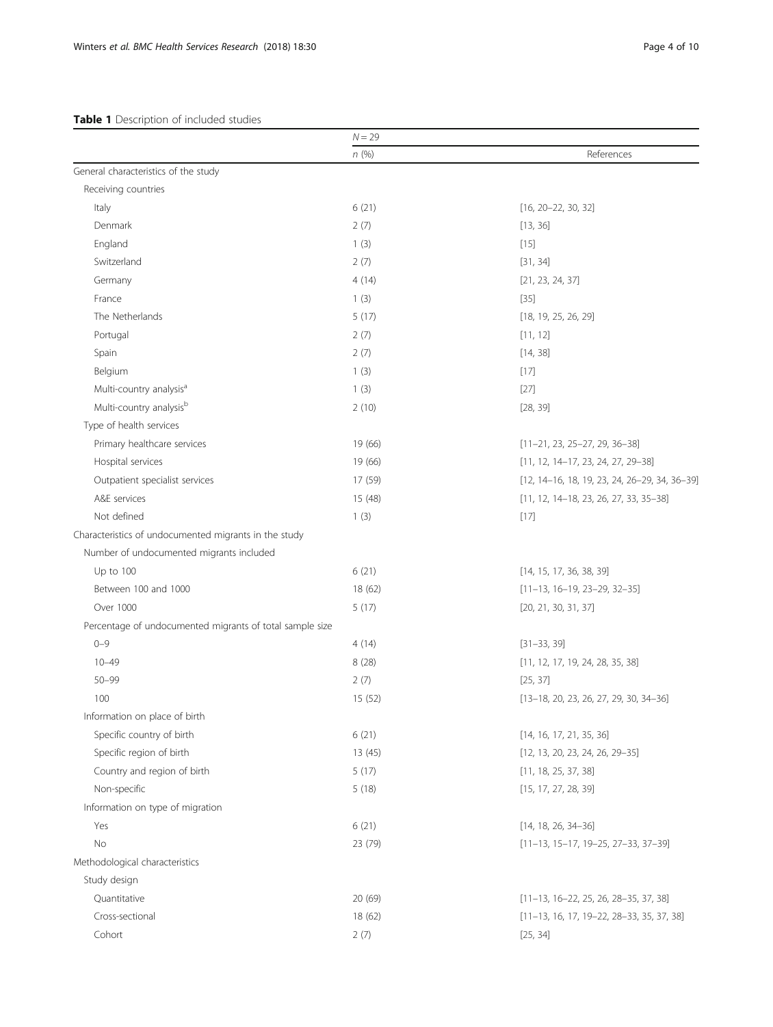## <span id="page-3-0"></span>Table 1 Description of included studies

|                                                          | $N = 29$ |                                               |
|----------------------------------------------------------|----------|-----------------------------------------------|
|                                                          | n(%)     | References                                    |
| General characteristics of the study                     |          |                                               |
| Receiving countries                                      |          |                                               |
| Italy                                                    | 6(21)    | $[16, 20-22, 30, 32]$                         |
| Denmark                                                  | 2(7)     | [13, 36]                                      |
| England                                                  | 1(3)     | $[15]$                                        |
| Switzerland                                              | 2(7)     | [31, 34]                                      |
| Germany                                                  | 4(14)    | [21, 23, 24, 37]                              |
| France                                                   | 1(3)     | $[35]$                                        |
| The Netherlands                                          | 5(17)    | [18, 19, 25, 26, 29]                          |
| Portugal                                                 | 2(7)     | [11, 12]                                      |
| Spain                                                    | 2(7)     | [14, 38]                                      |
| Belgium                                                  | 1(3)     | $[17]$                                        |
| Multi-country analysis <sup>a</sup>                      | 1(3)     | $[27]$                                        |
| Multi-country analysisb                                  | 2(10)    | [28, 39]                                      |
| Type of health services                                  |          |                                               |
| Primary healthcare services                              | 19 (66)  | $[11-21, 23, 25-27, 29, 36-38]$               |
| Hospital services                                        | 19 (66)  | $[11, 12, 14-17, 23, 24, 27, 29-38]$          |
| Outpatient specialist services                           | 17 (59)  | [12, 14-16, 18, 19, 23, 24, 26-29, 34, 36-39] |
| A&E services                                             | 15 (48)  | $[11, 12, 14-18, 23, 26, 27, 33, 35-38]$      |
| Not defined                                              | 1(3)     | [17]                                          |
| Characteristics of undocumented migrants in the study    |          |                                               |
| Number of undocumented migrants included                 |          |                                               |
| Up to 100                                                | 6(21)    | [14, 15, 17, 36, 38, 39]                      |
| Between 100 and 1000                                     | 18 (62)  | $[11-13, 16-19, 23-29, 32-35]$                |
| Over 1000                                                | 5(17)    | [20, 21, 30, 31, 37]                          |
| Percentage of undocumented migrants of total sample size |          |                                               |
| $0 - 9$                                                  | 4(14)    | $[31 - 33, 39]$                               |
| $10 - 49$                                                | 8(28)    | [11, 12, 17, 19, 24, 28, 35, 38]              |
| $50 - 99$                                                | 2(7)     | [25, 37]                                      |
| 100                                                      | 15 (52)  | $[13-18, 20, 23, 26, 27, 29, 30, 34-36]$      |
| Information on place of birth                            |          |                                               |
| Specific country of birth                                | 6(21)    | [14, 16, 17, 21, 35, 36]                      |
| Specific region of birth                                 | 13(45)   | $[12, 13, 20, 23, 24, 26, 29-35]$             |
| Country and region of birth                              | 5(17)    | [11, 18, 25, 37, 38]                          |
| Non-specific                                             | 5(18)    | [15, 17, 27, 28, 39]                          |
| Information on type of migration                         |          |                                               |
| Yes                                                      | 6(21)    | $[14, 18, 26, 34-36]$                         |
| No                                                       | 23 (79)  | $[11-13, 15-17, 19-25, 27-33, 37-39]$         |
| Methodological characteristics                           |          |                                               |
| Study design                                             |          |                                               |
| Quantitative                                             | 20 (69)  | $[11-13, 16-22, 25, 26, 28-35, 37, 38]$       |
| Cross-sectional                                          | 18 (62)  | $[11-13, 16, 17, 19-22, 28-33, 35, 37, 38]$   |
| Cohort                                                   | 2(7)     | [25, 34]                                      |
|                                                          |          |                                               |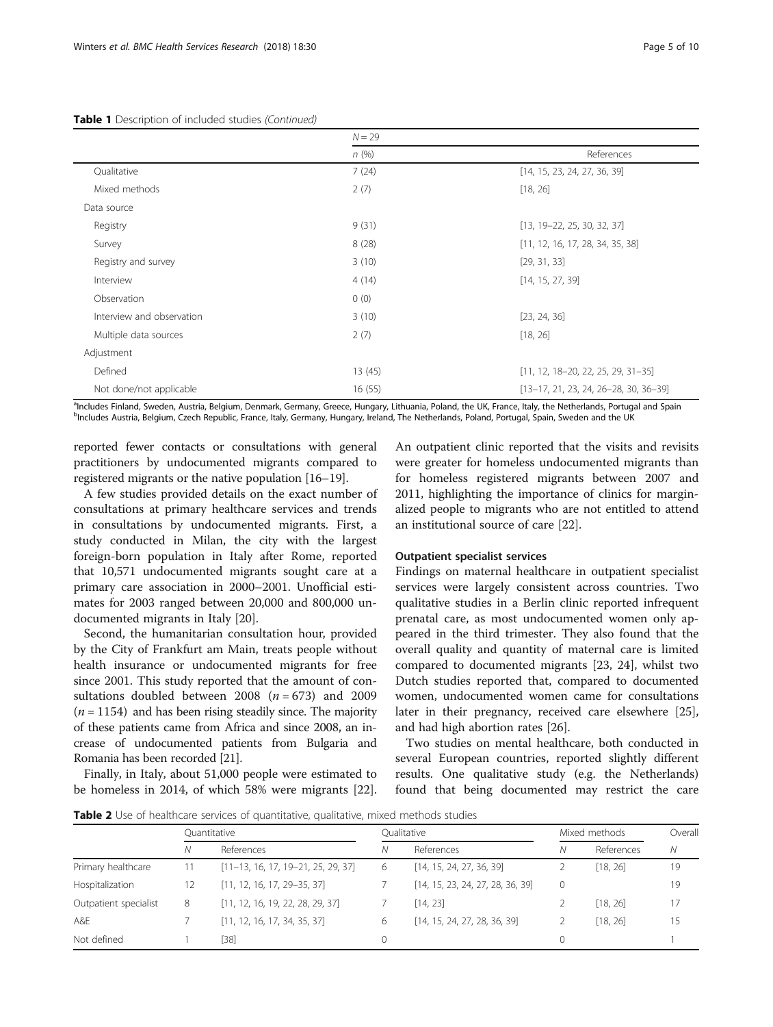#### <span id="page-4-0"></span>Table 1 Description of included studies (Continued)

|                           | $N = 29$ |                                          |  |  |  |
|---------------------------|----------|------------------------------------------|--|--|--|
|                           | n(%)     | References                               |  |  |  |
| Qualitative               | 7(24)    | [14, 15, 23, 24, 27, 36, 39]             |  |  |  |
| Mixed methods             | 2(7)     | [18, 26]                                 |  |  |  |
| Data source               |          |                                          |  |  |  |
| Registry                  | 9(31)    | $[13, 19-22, 25, 30, 32, 37]$            |  |  |  |
| Survey                    | 8(28)    | [11, 12, 16, 17, 28, 34, 35, 38]         |  |  |  |
| Registry and survey       | 3(10)    | [29, 31, 33]                             |  |  |  |
| Interview                 | 4(14)    | [14, 15, 27, 39]                         |  |  |  |
| Observation               | 0(0)     |                                          |  |  |  |
| Interview and observation | 3(10)    | [23, 24, 36]                             |  |  |  |
| Multiple data sources     | 2(7)     | [18, 26]                                 |  |  |  |
| Adjustment                |          |                                          |  |  |  |
| Defined                   | 13(45)   | $[11, 12, 18 - 20, 22, 25, 29, 31 - 35]$ |  |  |  |
| Not done/not applicable   | 16(55)   | $[13-17, 21, 23, 24, 26-28, 30, 36-39]$  |  |  |  |

a<br>Includes Finland, Sweden, Austria, Belgium, Denmark, Germany, Greece, Hungary, Lithuania, Poland, the UK, France, Italy, the Netherlands, Portugal and Spain beland and Spain belands, Portugal and Spain belands, Portugal <sup>b</sup>Includes Austria, Belgium, Czech Republic, France, Italy, Germany, Hungary, Ireland, The Netherlands, Poland, Portugal, Spain, Sweden and the UK

reported fewer contacts or consultations with general practitioners by undocumented migrants compared to registered migrants or the native population [\[16](#page-8-0)–[19](#page-8-0)].

A few studies provided details on the exact number of consultations at primary healthcare services and trends in consultations by undocumented migrants. First, a study conducted in Milan, the city with the largest foreign-born population in Italy after Rome, reported that 10,571 undocumented migrants sought care at a primary care association in 2000–2001. Unofficial estimates for 2003 ranged between 20,000 and 800,000 undocumented migrants in Italy [\[20\]](#page-8-0).

Second, the humanitarian consultation hour, provided by the City of Frankfurt am Main, treats people without health insurance or undocumented migrants for free since 2001. This study reported that the amount of consultations doubled between 2008 ( $n = 673$ ) and 2009  $(n = 1154)$  and has been rising steadily since. The majority of these patients came from Africa and since 2008, an increase of undocumented patients from Bulgaria and Romania has been recorded [\[21\]](#page-8-0).

Finally, in Italy, about 51,000 people were estimated to be homeless in 2014, of which 58% were migrants [\[22](#page-8-0)].

An outpatient clinic reported that the visits and revisits were greater for homeless undocumented migrants than for homeless registered migrants between 2007 and 2011, highlighting the importance of clinics for marginalized people to migrants who are not entitled to attend an institutional source of care [\[22\]](#page-8-0).

## Outpatient specialist services

Findings on maternal healthcare in outpatient specialist services were largely consistent across countries. Two qualitative studies in a Berlin clinic reported infrequent prenatal care, as most undocumented women only appeared in the third trimester. They also found that the overall quality and quantity of maternal care is limited compared to documented migrants [[23, 24\]](#page-8-0), whilst two Dutch studies reported that, compared to documented women, undocumented women came for consultations later in their pregnancy, received care elsewhere [\[25](#page-8-0)], and had high abortion rates [\[26](#page-8-0)].

Two studies on mental healthcare, both conducted in several European countries, reported slightly different results. One qualitative study (e.g. the Netherlands) found that being documented may restrict the care

Table 2 Use of healthcare services of quantitative, qualitative, mixed methods studies

|                       | Ouantitative |                                      |   | Oualitative                      |          | Mixed methods |    |
|-----------------------|--------------|--------------------------------------|---|----------------------------------|----------|---------------|----|
|                       | Ν            | References                           | Ν | References                       | Ν        | References    | N  |
| Primary healthcare    | 11           | $[11-13, 16, 17, 19-21, 25, 29, 37]$ | 6 | [14, 15, 24, 27, 36, 39]         |          | [18, 26]      | 19 |
| Hospitalization       | 12           | $[11, 12, 16, 17, 29-35, 37]$        |   | [14, 15, 23, 24, 27, 28, 36, 39] | $\Omega$ |               | 19 |
| Outpatient specialist | 8            | [11, 12, 16, 19, 22, 28, 29, 37]     |   | [14, 23]                         |          | [18, 26]      | 17 |
| A&E                   |              | [11, 12, 16, 17, 34, 35, 37]         | 6 | [14, 15, 24, 27, 28, 36, 39]     |          | [18, 26]      | 15 |
| Not defined           |              | $[38]$                               | 0 |                                  |          |               |    |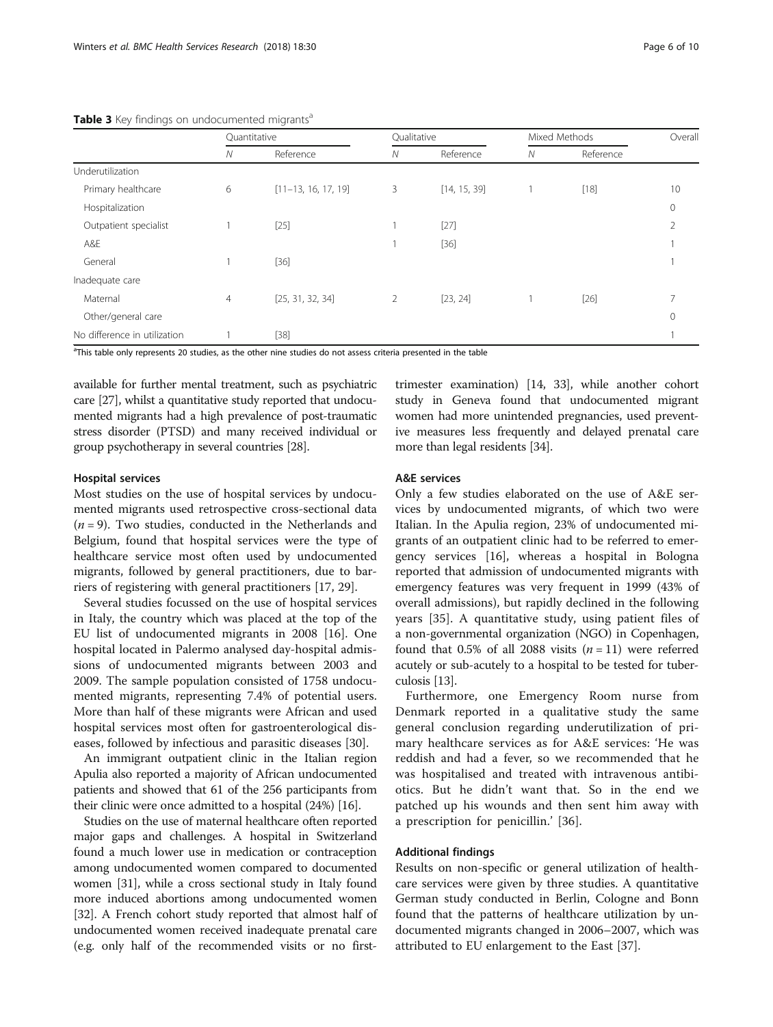|                              | Quantitative |                       |                | Qualitative  |   | Mixed Methods |              |
|------------------------------|--------------|-----------------------|----------------|--------------|---|---------------|--------------|
|                              | Ν            | Reference             | N              | Reference    | N | Reference     |              |
| Underutilization             |              |                       |                |              |   |               |              |
| Primary healthcare           | 6            | $[11-13, 16, 17, 19]$ | 3              | [14, 15, 39] |   | $[18]$        | 10           |
| Hospitalization              |              |                       |                |              |   |               | $\mathbf{0}$ |
| Outpatient specialist        |              | $[25]$                |                | $[27]$       |   |               | 2            |
| A&E                          |              |                       |                | $[36]$       |   |               |              |
| General                      |              | $[36]$                |                |              |   |               |              |
| Inadequate care              |              |                       |                |              |   |               |              |
| Maternal                     | 4            | [25, 31, 32, 34]      | $\overline{2}$ | [23, 24]     |   | $[26]$        |              |
| Other/general care           |              |                       |                |              |   |               | 0            |
| No difference in utilization |              | $[38]$                |                |              |   |               |              |

<span id="page-5-0"></span>Table 3 Key findings on undocumented migrants<sup>a</sup>

<sup>a</sup>This table only represents 20 studies, as the other nine studies do not assess criteria presented in the table

available for further mental treatment, such as psychiatric care [[27](#page-8-0)], whilst a quantitative study reported that undocumented migrants had a high prevalence of post-traumatic stress disorder (PTSD) and many received individual or group psychotherapy in several countries [\[28\]](#page-8-0).

## Hospital services

Most studies on the use of hospital services by undocumented migrants used retrospective cross-sectional data  $(n = 9)$ . Two studies, conducted in the Netherlands and Belgium, found that hospital services were the type of healthcare service most often used by undocumented migrants, followed by general practitioners, due to barriers of registering with general practitioners [[17](#page-8-0), [29](#page-8-0)].

Several studies focussed on the use of hospital services in Italy, the country which was placed at the top of the EU list of undocumented migrants in 2008 [[16\]](#page-8-0). One hospital located in Palermo analysed day-hospital admissions of undocumented migrants between 2003 and 2009. The sample population consisted of 1758 undocumented migrants, representing 7.4% of potential users. More than half of these migrants were African and used hospital services most often for gastroenterological diseases, followed by infectious and parasitic diseases [\[30](#page-8-0)].

An immigrant outpatient clinic in the Italian region Apulia also reported a majority of African undocumented patients and showed that 61 of the 256 participants from their clinic were once admitted to a hospital (24%) [\[16](#page-8-0)].

Studies on the use of maternal healthcare often reported major gaps and challenges. A hospital in Switzerland found a much lower use in medication or contraception among undocumented women compared to documented women [\[31\]](#page-8-0), while a cross sectional study in Italy found more induced abortions among undocumented women [[32](#page-8-0)]. A French cohort study reported that almost half of undocumented women received inadequate prenatal care (e.g. only half of the recommended visits or no firsttrimester examination) [[14, 33](#page-8-0)], while another cohort study in Geneva found that undocumented migrant women had more unintended pregnancies, used preventive measures less frequently and delayed prenatal care more than legal residents [\[34\]](#page-8-0).

## A&E services

Only a few studies elaborated on the use of A&E services by undocumented migrants, of which two were Italian. In the Apulia region, 23% of undocumented migrants of an outpatient clinic had to be referred to emergency services [\[16](#page-8-0)], whereas a hospital in Bologna reported that admission of undocumented migrants with emergency features was very frequent in 1999 (43% of overall admissions), but rapidly declined in the following years [[35\]](#page-8-0). A quantitative study, using patient files of a non-governmental organization (NGO) in Copenhagen, found that 0.5% of all 2088 visits  $(n = 11)$  were referred acutely or sub-acutely to a hospital to be tested for tuberculosis [\[13\]](#page-8-0).

Furthermore, one Emergency Room nurse from Denmark reported in a qualitative study the same general conclusion regarding underutilization of primary healthcare services as for A&E services: 'He was reddish and had a fever, so we recommended that he was hospitalised and treated with intravenous antibiotics. But he didn't want that. So in the end we patched up his wounds and then sent him away with a prescription for penicillin.' [\[36](#page-8-0)].

## Additional findings

Results on non-specific or general utilization of healthcare services were given by three studies. A quantitative German study conducted in Berlin, Cologne and Bonn found that the patterns of healthcare utilization by undocumented migrants changed in 2006–2007, which was attributed to EU enlargement to the East [[37](#page-8-0)].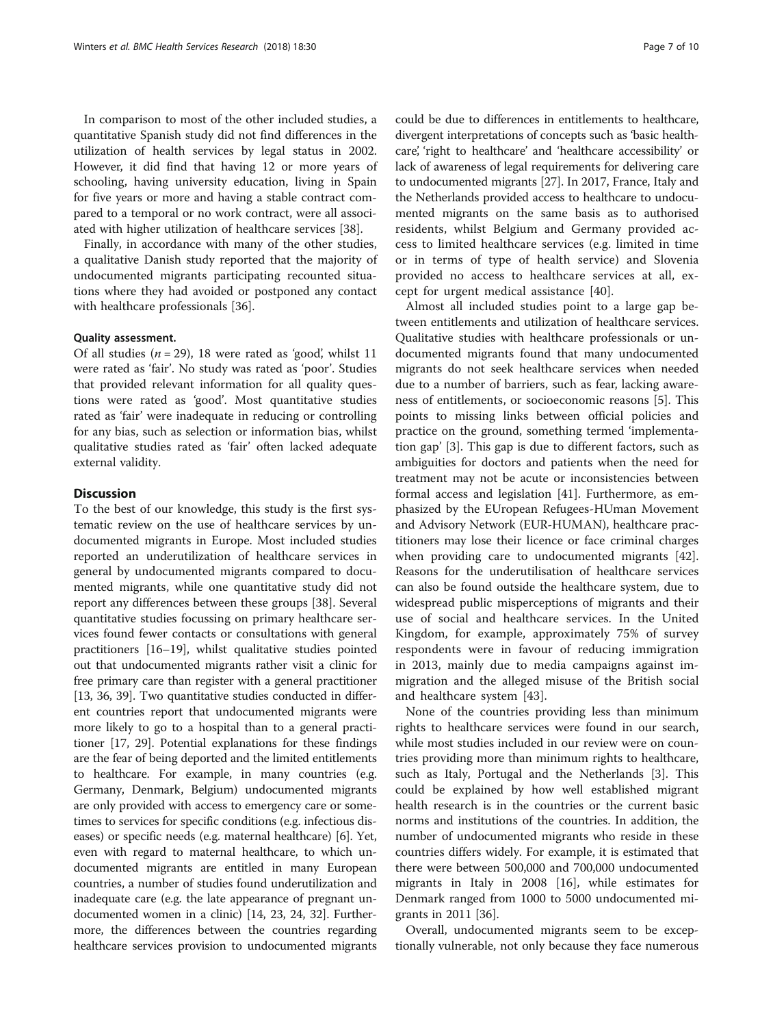In comparison to most of the other included studies, a quantitative Spanish study did not find differences in the utilization of health services by legal status in 2002. However, it did find that having 12 or more years of schooling, having university education, living in Spain for five years or more and having a stable contract compared to a temporal or no work contract, were all associated with higher utilization of healthcare services [[38\]](#page-8-0).

Finally, in accordance with many of the other studies, a qualitative Danish study reported that the majority of undocumented migrants participating recounted situations where they had avoided or postponed any contact with healthcare professionals [\[36](#page-8-0)].

## Quality assessment.

Of all studies  $(n = 29)$ , 18 were rated as 'good', whilst 11 were rated as 'fair'. No study was rated as 'poor'. Studies that provided relevant information for all quality questions were rated as 'good'. Most quantitative studies rated as 'fair' were inadequate in reducing or controlling for any bias, such as selection or information bias, whilst qualitative studies rated as 'fair' often lacked adequate external validity.

## **Discussion**

To the best of our knowledge, this study is the first systematic review on the use of healthcare services by undocumented migrants in Europe. Most included studies reported an underutilization of healthcare services in general by undocumented migrants compared to documented migrants, while one quantitative study did not report any differences between these groups [\[38](#page-8-0)]. Several quantitative studies focussing on primary healthcare services found fewer contacts or consultations with general practitioners [[16](#page-8-0)–[19\]](#page-8-0), whilst qualitative studies pointed out that undocumented migrants rather visit a clinic for free primary care than register with a general practitioner [[13](#page-8-0), [36](#page-8-0), [39](#page-8-0)]. Two quantitative studies conducted in different countries report that undocumented migrants were more likely to go to a hospital than to a general practitioner [\[17, 29\]](#page-8-0). Potential explanations for these findings are the fear of being deported and the limited entitlements to healthcare. For example, in many countries (e.g. Germany, Denmark, Belgium) undocumented migrants are only provided with access to emergency care or sometimes to services for specific conditions (e.g. infectious diseases) or specific needs (e.g. maternal healthcare) [[6\]](#page-8-0). Yet, even with regard to maternal healthcare, to which undocumented migrants are entitled in many European countries, a number of studies found underutilization and inadequate care (e.g. the late appearance of pregnant undocumented women in a clinic) [\[14, 23](#page-8-0), [24](#page-8-0), [32](#page-8-0)]. Furthermore, the differences between the countries regarding healthcare services provision to undocumented migrants

could be due to differences in entitlements to healthcare, divergent interpretations of concepts such as 'basic healthcare', 'right to healthcare' and 'healthcare accessibility' or lack of awareness of legal requirements for delivering care to undocumented migrants [[27](#page-8-0)]. In 2017, France, Italy and the Netherlands provided access to healthcare to undocumented migrants on the same basis as to authorised residents, whilst Belgium and Germany provided access to limited healthcare services (e.g. limited in time or in terms of type of health service) and Slovenia provided no access to healthcare services at all, except for urgent medical assistance [[40\]](#page-8-0).

Almost all included studies point to a large gap between entitlements and utilization of healthcare services. Qualitative studies with healthcare professionals or undocumented migrants found that many undocumented migrants do not seek healthcare services when needed due to a number of barriers, such as fear, lacking awareness of entitlements, or socioeconomic reasons [[5\]](#page-8-0). This points to missing links between official policies and practice on the ground, something termed 'implementation gap' [[3\]](#page-8-0). This gap is due to different factors, such as ambiguities for doctors and patients when the need for treatment may not be acute or inconsistencies between formal access and legislation [[41](#page-9-0)]. Furthermore, as emphasized by the EUropean Refugees-HUman Movement and Advisory Network (EUR-HUMAN), healthcare practitioners may lose their licence or face criminal charges when providing care to undocumented migrants [\[42](#page-9-0)]. Reasons for the underutilisation of healthcare services can also be found outside the healthcare system, due to widespread public misperceptions of migrants and their use of social and healthcare services. In the United Kingdom, for example, approximately 75% of survey respondents were in favour of reducing immigration in 2013, mainly due to media campaigns against immigration and the alleged misuse of the British social and healthcare system [\[43](#page-9-0)].

None of the countries providing less than minimum rights to healthcare services were found in our search, while most studies included in our review were on countries providing more than minimum rights to healthcare, such as Italy, Portugal and the Netherlands [[3\]](#page-8-0). This could be explained by how well established migrant health research is in the countries or the current basic norms and institutions of the countries. In addition, the number of undocumented migrants who reside in these countries differs widely. For example, it is estimated that there were between 500,000 and 700,000 undocumented migrants in Italy in 2008 [[16](#page-8-0)], while estimates for Denmark ranged from 1000 to 5000 undocumented migrants in 2011 [[36](#page-8-0)].

Overall, undocumented migrants seem to be exceptionally vulnerable, not only because they face numerous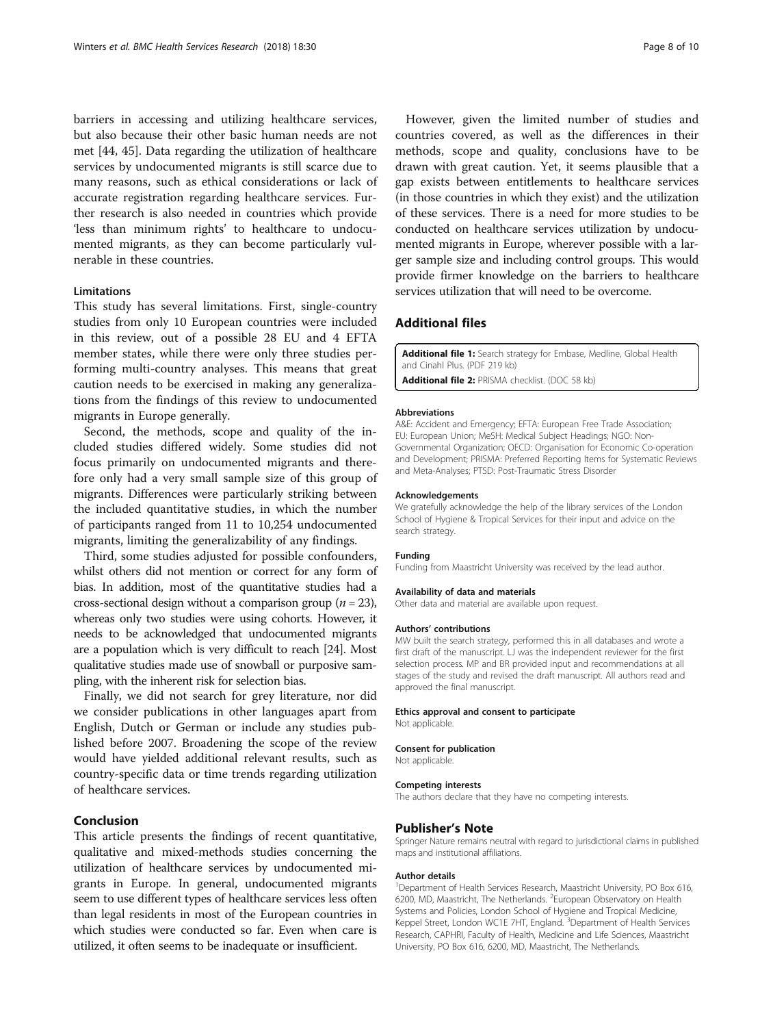<span id="page-7-0"></span>barriers in accessing and utilizing healthcare services, but also because their other basic human needs are not met [[44, 45\]](#page-9-0). Data regarding the utilization of healthcare services by undocumented migrants is still scarce due to many reasons, such as ethical considerations or lack of accurate registration regarding healthcare services. Further research is also needed in countries which provide 'less than minimum rights' to healthcare to undocumented migrants, as they can become particularly vulnerable in these countries.

## Limitations

This study has several limitations. First, single-country studies from only 10 European countries were included in this review, out of a possible 28 EU and 4 EFTA member states, while there were only three studies performing multi-country analyses. This means that great caution needs to be exercised in making any generalizations from the findings of this review to undocumented migrants in Europe generally.

Second, the methods, scope and quality of the included studies differed widely. Some studies did not focus primarily on undocumented migrants and therefore only had a very small sample size of this group of migrants. Differences were particularly striking between the included quantitative studies, in which the number of participants ranged from 11 to 10,254 undocumented migrants, limiting the generalizability of any findings.

Third, some studies adjusted for possible confounders, whilst others did not mention or correct for any form of bias. In addition, most of the quantitative studies had a cross-sectional design without a comparison group ( $n = 23$ ), whereas only two studies were using cohorts. However, it needs to be acknowledged that undocumented migrants are a population which is very difficult to reach [\[24\]](#page-8-0). Most qualitative studies made use of snowball or purposive sampling, with the inherent risk for selection bias.

Finally, we did not search for grey literature, nor did we consider publications in other languages apart from English, Dutch or German or include any studies published before 2007. Broadening the scope of the review would have yielded additional relevant results, such as country-specific data or time trends regarding utilization of healthcare services.

## Conclusion

This article presents the findings of recent quantitative, qualitative and mixed-methods studies concerning the utilization of healthcare services by undocumented migrants in Europe. In general, undocumented migrants seem to use different types of healthcare services less often than legal residents in most of the European countries in which studies were conducted so far. Even when care is utilized, it often seems to be inadequate or insufficient.

However, given the limited number of studies and countries covered, as well as the differences in their methods, scope and quality, conclusions have to be drawn with great caution. Yet, it seems plausible that a gap exists between entitlements to healthcare services (in those countries in which they exist) and the utilization of these services. There is a need for more studies to be conducted on healthcare services utilization by undocumented migrants in Europe, wherever possible with a larger sample size and including control groups. This would provide firmer knowledge on the barriers to healthcare services utilization that will need to be overcome.

## Additional files

[Additional file 1:](dx.doi.org/10.1186/s12913-018-2838-y) Search strategy for Embase, Medline, Global Health and Cinahl Plus. (PDF 219 kb) [Additional file 2:](dx.doi.org/10.1186/s12913-018-2838-y) PRISMA checklist. (DOC 58 kb)

#### Abbreviations

A&E: Accident and Emergency; EFTA: European Free Trade Association; EU: European Union; MeSH: Medical Subject Headings; NGO: Non-Governmental Organization; OECD: Organisation for Economic Co-operation and Development; PRISMA: Preferred Reporting Items for Systematic Reviews and Meta-Analyses; PTSD: Post-Traumatic Stress Disorder

#### Acknowledgements

We gratefully acknowledge the help of the library services of the London School of Hygiene & Tropical Services for their input and advice on the search strategy.

#### Funding

Funding from Maastricht University was received by the lead author.

### Availability of data and materials

Other data and material are available upon request.

#### Authors' contributions

MW built the search strategy, performed this in all databases and wrote a first draft of the manuscript. LJ was the independent reviewer for the first selection process. MP and BR provided input and recommendations at all stages of the study and revised the draft manuscript. All authors read and approved the final manuscript.

## Ethics approval and consent to participate

Not applicable.

#### Consent for publication

Not applicable.

#### Competing interests

The authors declare that they have no competing interests.

## Publisher's Note

Springer Nature remains neutral with regard to jurisdictional claims in published maps and institutional affiliations.

#### Author details

<sup>1</sup>Department of Health Services Research, Maastricht University, PO Box 616 6200, MD, Maastricht, The Netherlands. <sup>2</sup>European Observatory on Health Systems and Policies, London School of Hygiene and Tropical Medicine, Keppel Street, London WC1E 7HT, England. <sup>3</sup>Department of Health Services Research, CAPHRI, Faculty of Health, Medicine and Life Sciences, Maastricht University, PO Box 616, 6200, MD, Maastricht, The Netherlands.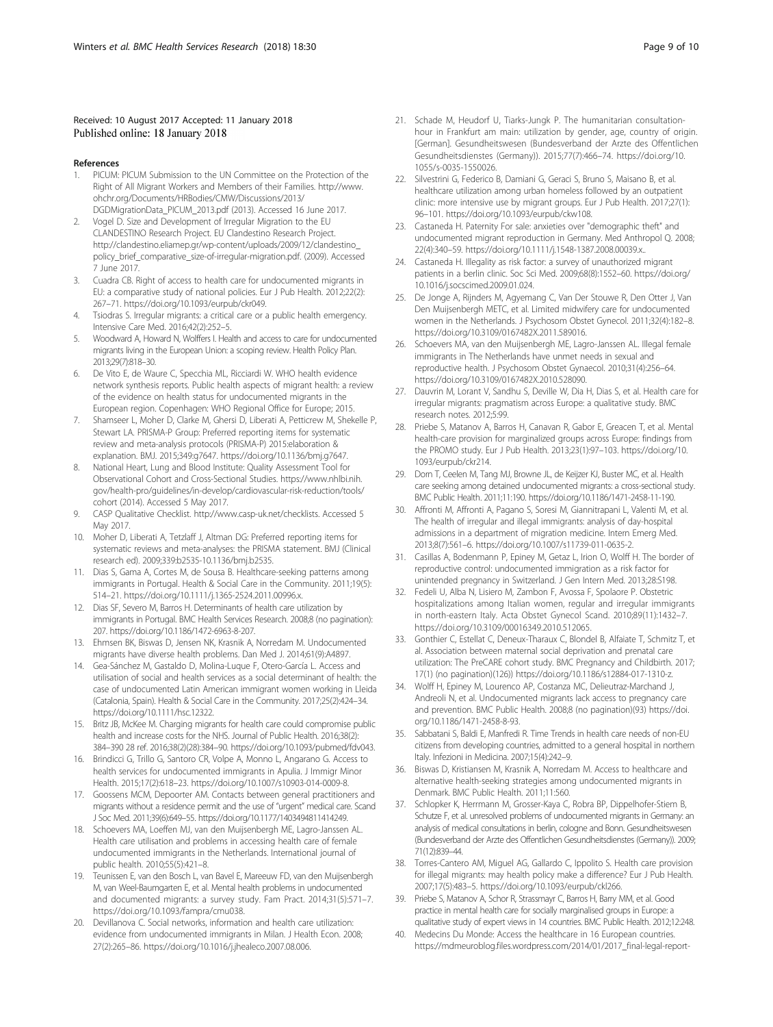## <span id="page-8-0"></span>Received: 10 August 2017 Accepted: 11 January 2018 Published online: 18 January 2018

### References

- 1. PICUM: PICUM Submission to the UN Committee on the Protection of the Right of All Migrant Workers and Members of their Families. [http://www.](http://www.ohchr.org/Documents/HRBodies/CMW/Discussions/2013/DGDMigrationData_PICUM_2013.pdf) [ohchr.org/Documents/HRBodies/CMW/Discussions/2013/](http://www.ohchr.org/Documents/HRBodies/CMW/Discussions/2013/DGDMigrationData_PICUM_2013.pdf) [DGDMigrationData\\_PICUM\\_2013.pdf](http://www.ohchr.org/Documents/HRBodies/CMW/Discussions/2013/DGDMigrationData_PICUM_2013.pdf) (2013). Accessed 16 June 2017.
- 2. Vogel D. Size and Development of Irregular Migration to the EU CLANDESTINO Research Project. EU Clandestino Research Project. [http://clandestino.eliamep.gr/wp-content/uploads/2009/12/clandestino\\_](http://clandestino.eliamep.gr/wp-content/uploads/2009/12/clandestino_policy_brief_comparative_size-of-irregular-migration.pdf) [policy\\_brief\\_comparative\\_size-of-irregular-migration.pdf.](http://clandestino.eliamep.gr/wp-content/uploads/2009/12/clandestino_policy_brief_comparative_size-of-irregular-migration.pdf) (2009). Accessed 7 June 2017.
- 3. Cuadra CB. Right of access to health care for undocumented migrants in EU: a comparative study of national policies. Eur J Pub Health. 2012;22(2): 267–71. [https://doi.org/10.1093/eurpub/ckr049](http://dx.doi.org/10.1093/eurpub/ckr049).
- 4. Tsiodras S. Irregular migrants: a critical care or a public health emergency. Intensive Care Med. 2016;42(2):252–5.
- 5. Woodward A, Howard N, Wolffers I. Health and access to care for undocumented migrants living in the European Union: a scoping review. Health Policy Plan. 2013;29(7):818–30.
- 6. De Vito E, de Waure C, Specchia ML, Ricciardi W. WHO health evidence network synthesis reports. Public health aspects of migrant health: a review of the evidence on health status for undocumented migrants in the European region. Copenhagen: WHO Regional Office for Europe; 2015.
- 7. Shamseer L, Moher D, Clarke M, Ghersi D, Liberati A, Petticrew M, Shekelle P, Stewart LA. PRISMA-P Group: Preferred reporting items for systematic review and meta-analysis protocols (PRISMA-P) 2015:elaboration & explanation. BMJ. 2015;349:g7647. [https://doi.org/10.1136/bmj.g7647](http://dx.doi.org/10.1136/bmj.g7647).
- 8. National Heart, Lung and Blood Institute: Quality Assessment Tool for Observational Cohort and Cross-Sectional Studies. [https://www.nhlbi.nih.](https://www.nhlbi.nih.gov/health-pro/guidelines/in-develop/cardiovascular-risk-reduction/tools/cohort) [gov/health-pro/guidelines/in-develop/cardiovascular-risk-reduction/tools/](https://www.nhlbi.nih.gov/health-pro/guidelines/in-develop/cardiovascular-risk-reduction/tools/cohort) [cohort](https://www.nhlbi.nih.gov/health-pro/guidelines/in-develop/cardiovascular-risk-reduction/tools/cohort) (2014). Accessed 5 May 2017.
- 9. CASP Qualitative Checklist.<http://www.casp-uk.net/checklists>. Accessed 5 May 2017.
- 10. Moher D, Liberati A, Tetzlaff J, Altman DG: Preferred reporting items for systematic reviews and meta-analyses: the PRISMA statement. BMJ (Clinical research ed). 2009;339:b2535-10.1136/bmj.b2535.
- 11. Dias S, Gama A, Cortes M, de Sousa B. Healthcare-seeking patterns among immigrants in Portugal. Health & Social Care in the Community. 2011;19(5): 514–21. [https://doi.org/10.1111/j.1365-2524.2011.00996.x](http://dx.doi.org/10.1111/j.1365-2524.2011.00996.x).
- 12. Dias SF, Severo M, Barros H. Determinants of health care utilization by immigrants in Portugal. BMC Health Services Research. 2008;8 (no pagination): 207. [https://doi.org/10.1186/1472-6963-8-207.](http://dx.doi.org/10.1186/1472-6963-8-207)
- 13. Ehmsen BK, Biswas D, Jensen NK, Krasnik A, Norredam M. Undocumented migrants have diverse health problems. Dan Med J. 2014;61(9):A4897.
- 14. Gea-Sánchez M, Gastaldo D, Molina-Luque F, Otero-García L. Access and utilisation of social and health services as a social determinant of health: the case of undocumented Latin American immigrant women working in Lleida (Catalonia, Spain). Health & Social Care in the Community. 2017;25(2):424–34. [https://doi.org/10.1111/hsc.12322.](http://dx.doi.org/10.1111/hsc.12322)
- 15. Britz JB, McKee M. Charging migrants for health care could compromise public health and increase costs for the NHS. Journal of Public Health. 2016;38(2): 384–390 28 ref. 2016;38(2)(28):384–90. [https://doi.org/10.1093/pubmed/fdv043.](http://dx.doi.org/10.1093/pubmed/fdv043)
- 16. Brindicci G, Trillo G, Santoro CR, Volpe A, Monno L, Angarano G. Access to health services for undocumented immigrants in Apulia. J Immigr Minor Health. 2015;17(2):618–23. [https://doi.org/10.1007/s10903-014-0009-8.](http://dx.doi.org/10.1007/s10903-014-0009-8)
- 17. Goossens MCM, Depoorter AM. Contacts between general practitioners and migrants without a residence permit and the use of "urgent" medical care. Scand J Soc Med. 2011;39(6):649–55. [https://doi.org/10.1177/1403494811414249](http://dx.doi.org/10.1177/1403494811414249).
- 18. Schoevers MA, Loeffen MJ, van den Muijsenbergh ME, Lagro-Janssen AL. Health care utilisation and problems in accessing health care of female undocumented immigrants in the Netherlands. International journal of public health. 2010;55(5):421–8.
- 19. Teunissen E, van den Bosch L, van Bavel E, Mareeuw FD, van den Muijsenbergh M, van Weel-Baumgarten E, et al. Mental health problems in undocumented and documented migrants: a survey study. Fam Pract. 2014;31(5):571–7. [https://doi.org/10.1093/fampra/cmu038](http://dx.doi.org/10.1093/fampra/cmu038).
- 20. Devillanova C. Social networks, information and health care utilization: evidence from undocumented immigrants in Milan. J Health Econ. 2008; 27(2):265–86. [https://doi.org/10.1016/j.jhealeco.2007.08.006.](http://dx.doi.org/10.1016/j.jhealeco.2007.08.006)
- 21. Schade M, Heudorf U, Tiarks-Jungk P. The humanitarian consultationhour in Frankfurt am main: utilization by gender, age, country of origin. [German]. Gesundheitswesen (Bundesverband der Arzte des Offentlichen Gesundheitsdienstes (Germany)). 2015;77(7):466–74. [https://doi.org/10.](http://dx.doi.org/10.1055/s-0035-1550026) [1055/s-0035-1550026.](http://dx.doi.org/10.1055/s-0035-1550026)
- 22. Silvestrini G, Federico B, Damiani G, Geraci S, Bruno S, Maisano B, et al. healthcare utilization among urban homeless followed by an outpatient clinic: more intensive use by migrant groups. Eur J Pub Health. 2017;27(1): 96–101. [https://doi.org/10.1093/eurpub/ckw108](http://dx.doi.org/10.1093/eurpub/ckw108).
- 23. Castaneda H. Paternity For sale: anxieties over "demographic theft" and undocumented migrant reproduction in Germany. Med Anthropol Q. 2008; 22(4):340–59. [https://doi.org/10.1111/j.1548-1387.2008.00039.x..](http://dx.doi.org/10.1111/j.1548-1387.2008.00039.x..)
- 24. Castaneda H. Illegality as risk factor: a survey of unauthorized migrant patients in a berlin clinic. Soc Sci Med. 2009;68(8):1552–60. [https://doi.org/](http://dx.doi.org/10.1016/j.socscimed.2009.01.024) [10.1016/j.socscimed.2009.01.024.](http://dx.doi.org/10.1016/j.socscimed.2009.01.024)
- 25. De Jonge A, Rijnders M, Agyemang C, Van Der Stouwe R, Den Otter J, Van Den Muijsenbergh METC, et al. Limited midwifery care for undocumented women in the Netherlands. J Psychosom Obstet Gynecol. 2011;32(4):182–8. [https://doi.org/10.3109/0167482X.2011.589016](http://dx.doi.org/10.3109/0167482X.2011.589016).
- 26. Schoevers MA, van den Muijsenbergh ME, Lagro-Janssen AL. Illegal female immigrants in The Netherlands have unmet needs in sexual and reproductive health. J Psychosom Obstet Gynaecol. 2010;31(4):256–64. [https://doi.org/10.3109/0167482X.2010.528090](http://dx.doi.org/10.3109/0167482X.2010.528090).
- 27. Dauvrin M, Lorant V, Sandhu S, Deville W, Dia H, Dias S, et al. Health care for irregular migrants: pragmatism across Europe: a qualitative study. BMC research notes. 2012;5:99.
- 28. Priebe S, Matanov A, Barros H, Canavan R, Gabor E, Greacen T, et al. Mental health-care provision for marginalized groups across Europe: findings from the PROMO study. Eur J Pub Health. 2013;23(1):97–103. [https://doi.org/10.](http://dx.doi.org/10.1093/eurpub/ckr214) [1093/eurpub/ckr214](http://dx.doi.org/10.1093/eurpub/ckr214).
- 29. Dorn T, Ceelen M, Tang MJ, Browne JL, de Keijzer KJ, Buster MC, et al. Health care seeking among detained undocumented migrants: a cross-sectional study. BMC Public Health. 2011;11:190. [https://doi.org/10.1186/1471-2458-11-190](http://dx.doi.org/10.1186/1471-2458-11-190).
- 30. Affronti M, Affronti A, Pagano S, Soresi M, Giannitrapani L, Valenti M, et al. The health of irregular and illegal immigrants: analysis of day-hospital admissions in a department of migration medicine. Intern Emerg Med. 2013;8(7):561–6. [https://doi.org/10.1007/s11739-011-0635-2](http://dx.doi.org/10.1007/s11739-011-0635-2).
- 31. Casillas A, Bodenmann P, Epiney M, Getaz L, Irion O, Wolff H. The border of reproductive control: undocumented immigration as a risk factor for unintended pregnancy in Switzerland. J Gen Intern Med. 2013;28:S198.
- 32. Fedeli U, Alba N, Lisiero M, Zambon F, Avossa F, Spolaore P. Obstetric hospitalizations among Italian women, regular and irregular immigrants in north-eastern Italy. Acta Obstet Gynecol Scand. 2010;89(11):1432–7. [https://doi.org/10.3109/00016349.2010.512065.](http://dx.doi.org/10.3109/00016349.2010.512065)
- 33. Gonthier C, Estellat C, Deneux-Tharaux C, Blondel B, Alfaiate T, Schmitz T, et al. Association between maternal social deprivation and prenatal care utilization: The PreCARE cohort study. BMC Pregnancy and Childbirth. 2017; 17(1) (no pagination)(126)) [https://doi.org/10.1186/s12884-017-1310-z.](http://dx.doi.org/10.1186/s12884-017-1310-z)
- 34. Wolff H, Epiney M, Lourenco AP, Costanza MC, Delieutraz-Marchand J, Andreoli N, et al. Undocumented migrants lack access to pregnancy care and prevention. BMC Public Health. 2008;8 (no pagination)(93) [https://doi.](http://dx.doi.org/10.1186/1471-2458-8-93) [org/10.1186/1471-2458-8-93.](http://dx.doi.org/10.1186/1471-2458-8-93)
- 35. Sabbatani S, Baldi E, Manfredi R. Time Trends in health care needs of non-EU citizens from developing countries, admitted to a general hospital in northern Italy. Infezioni in Medicina. 2007;15(4):242–9.
- 36. Biswas D, Kristiansen M, Krasnik A, Norredam M. Access to healthcare and alternative health-seeking strategies among undocumented migrants in Denmark. BMC Public Health. 2011;11:560.
- 37. Schlopker K, Herrmann M, Grosser-Kaya C, Robra BP, Dippelhofer-Stiem B, Schutze F, et al. unresolved problems of undocumented migrants in Germany: an analysis of medical consultations in berlin, cologne and Bonn. Gesundheitswesen (Bundesverband der Arzte des Offentlichen Gesundheitsdienstes (Germany)). 2009; 71(12):839–44.
- 38. Torres-Cantero AM, Miguel AG, Gallardo C, Ippolito S. Health care provision for illegal migrants: may health policy make a difference? Eur J Pub Health. 2007;17(5):483–5. [https://doi.org/10.1093/eurpub/ckl266](http://dx.doi.org/10.1093/eurpub/ckl266).
- 39. Priebe S, Matanov A, Schor R, Strassmayr C, Barros H, Barry MM, et al. Good practice in mental health care for socially marginalised groups in Europe: a qualitative study of expert views in 14 countries. BMC Public Health. 2012;12:248.
- Medecins Du Monde: Access the healthcare in 16 European countries. [https://mdmeuroblog.files.wordpress.com/2014/01/2017\\_final-legal-report-](https://mdmeuroblog.files.wordpress.com/2014/01/2017_final-legal-report-on-access-tohealthcare-in-16-european-countries.pdf)